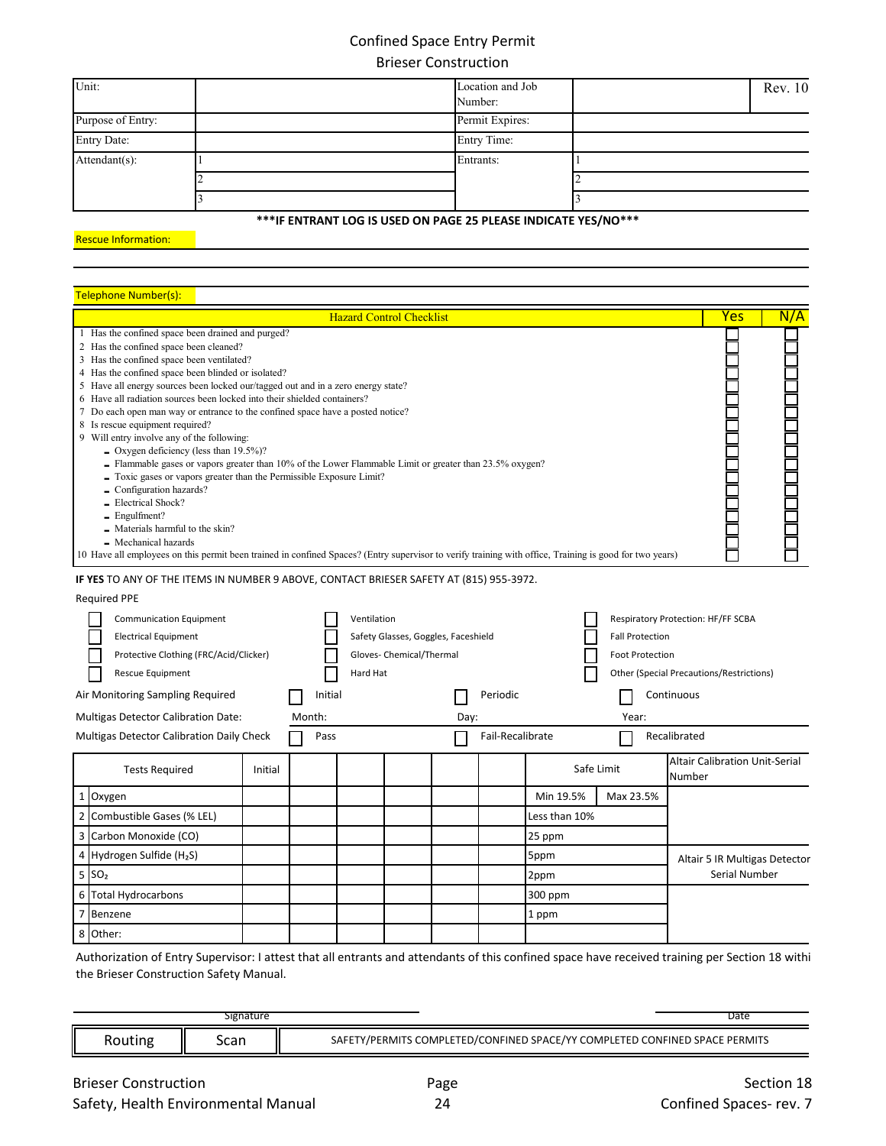## Confined Space Entry Permit Brieser Construction

| Unit:              | Location and Job<br>Number: | Rev. 10 |
|--------------------|-----------------------------|---------|
| Purpose of Entry:  | Permit Expires:             |         |
| <b>Entry Date:</b> | <b>Entry Time:</b>          |         |
| Attendant(s):      | Entrants:                   |         |
|                    |                             |         |
|                    |                             |         |

## **\*\*\*IF ENTRANT LOG IS USED ON PAGE 25 PLEASE INDICATE YES/NO\*\*\***

Rescue Information:

## Telephone Number(s):

|                      | 1 Has the confined space been drained and purged?<br>2 Has the confined space been cleaned?<br>3 Has the confined space been ventilated?<br>4 Has the confined space been blinded or isolated?<br>5 Have all energy sources been locked our/tagged out and in a zero energy state?<br>6 Have all radiation sources been locked into their shielded containers?<br>7 Do each open man way or entrance to the confined space have a posted notice?<br>8 Is rescue equipment required?<br>9 Will entry involve any of the following:<br>$\sim$ Oxygen deficiency (less than 19.5%)?<br>- Flammable gases or vapors greater than 10% of the Lower Flammable Limit or greater than 23.5% oxygen?<br>- Toxic gases or vapors greater than the Permissible Exposure Limit?<br>- Configuration hazards?<br>- Electrical Shock?<br>$-$ Engulfment?<br>- Materials harmful to the skin?<br>- Mechanical hazards<br>10 Have all employees on this permit been trained in confined Spaces? (Entry supervisor to verify training with office, Training is good for two years) |         |         | <b>Hazard Control Checklist</b> |                                                                 |      |                  |               |                                                                                                                                    |              | Yes                                   | N/A |
|----------------------|------------------------------------------------------------------------------------------------------------------------------------------------------------------------------------------------------------------------------------------------------------------------------------------------------------------------------------------------------------------------------------------------------------------------------------------------------------------------------------------------------------------------------------------------------------------------------------------------------------------------------------------------------------------------------------------------------------------------------------------------------------------------------------------------------------------------------------------------------------------------------------------------------------------------------------------------------------------------------------------------------------------------------------------------------------------|---------|---------|---------------------------------|-----------------------------------------------------------------|------|------------------|---------------|------------------------------------------------------------------------------------------------------------------------------------|--------------|---------------------------------------|-----|
|                      | IF YES TO ANY OF THE ITEMS IN NUMBER 9 ABOVE, CONTACT BRIESER SAFETY AT (815) 955-3972.                                                                                                                                                                                                                                                                                                                                                                                                                                                                                                                                                                                                                                                                                                                                                                                                                                                                                                                                                                          |         |         |                                 |                                                                 |      |                  |               |                                                                                                                                    |              |                                       |     |
|                      | <b>Required PPE</b>                                                                                                                                                                                                                                                                                                                                                                                                                                                                                                                                                                                                                                                                                                                                                                                                                                                                                                                                                                                                                                              |         |         |                                 |                                                                 |      |                  |               |                                                                                                                                    |              |                                       |     |
|                      | <b>Communication Equipment</b><br><b>Electrical Equipment</b><br>Protective Clothing (FRC/Acid/Clicker)<br>Rescue Equipment                                                                                                                                                                                                                                                                                                                                                                                                                                                                                                                                                                                                                                                                                                                                                                                                                                                                                                                                      |         |         | Ventilation<br>Hard Hat         | Safety Glasses, Goggles, Faceshield<br>Gloves- Chemical/Thermal |      |                  |               | Respiratory Protection: HF/FF SCBA<br><b>Fall Protection</b><br><b>Foot Protection</b><br>Other (Special Precautions/Restrictions) |              |                                       |     |
|                      | Air Monitoring Sampling Required                                                                                                                                                                                                                                                                                                                                                                                                                                                                                                                                                                                                                                                                                                                                                                                                                                                                                                                                                                                                                                 |         | Initial |                                 |                                                                 |      | Periodic         |               |                                                                                                                                    | Continuous   |                                       |     |
|                      | Multigas Detector Calibration Date:                                                                                                                                                                                                                                                                                                                                                                                                                                                                                                                                                                                                                                                                                                                                                                                                                                                                                                                                                                                                                              |         | Month:  |                                 |                                                                 | Day: |                  |               | Year:                                                                                                                              |              |                                       |     |
|                      | Multigas Detector Calibration Daily Check                                                                                                                                                                                                                                                                                                                                                                                                                                                                                                                                                                                                                                                                                                                                                                                                                                                                                                                                                                                                                        |         | Pass    |                                 |                                                                 |      | Fail-Recalibrate |               |                                                                                                                                    | Recalibrated |                                       |     |
|                      | <b>Tests Required</b>                                                                                                                                                                                                                                                                                                                                                                                                                                                                                                                                                                                                                                                                                                                                                                                                                                                                                                                                                                                                                                            | Initial |         |                                 |                                                                 |      |                  |               | Safe Limit                                                                                                                         | Number       | <b>Altair Calibration Unit-Serial</b> |     |
| $\mathbf 1$          | Oxygen                                                                                                                                                                                                                                                                                                                                                                                                                                                                                                                                                                                                                                                                                                                                                                                                                                                                                                                                                                                                                                                           |         |         |                                 |                                                                 |      |                  | Min 19.5%     | Max 23.5%                                                                                                                          |              |                                       |     |
| $\overline{2}$       | Combustible Gases (% LEL)                                                                                                                                                                                                                                                                                                                                                                                                                                                                                                                                                                                                                                                                                                                                                                                                                                                                                                                                                                                                                                        |         |         |                                 |                                                                 |      |                  | Less than 10% |                                                                                                                                    |              |                                       |     |
| 3                    | Carbon Monoxide (CO)                                                                                                                                                                                                                                                                                                                                                                                                                                                                                                                                                                                                                                                                                                                                                                                                                                                                                                                                                                                                                                             |         |         |                                 |                                                                 |      |                  | 25 ppm        |                                                                                                                                    |              |                                       |     |
| 4                    | Hydrogen Sulfide (H2S)                                                                                                                                                                                                                                                                                                                                                                                                                                                                                                                                                                                                                                                                                                                                                                                                                                                                                                                                                                                                                                           |         |         |                                 |                                                                 |      |                  | 5ppm          |                                                                                                                                    |              | Altair 5 IR Multigas Detector         |     |
| 5<br>SO <sub>2</sub> |                                                                                                                                                                                                                                                                                                                                                                                                                                                                                                                                                                                                                                                                                                                                                                                                                                                                                                                                                                                                                                                                  |         |         |                                 |                                                                 |      |                  | 2ppm          |                                                                                                                                    |              | Serial Number                         |     |
| 6                    | <b>Total Hydrocarbons</b>                                                                                                                                                                                                                                                                                                                                                                                                                                                                                                                                                                                                                                                                                                                                                                                                                                                                                                                                                                                                                                        |         |         |                                 |                                                                 |      |                  | 300 ppm       |                                                                                                                                    |              |                                       |     |
| $\overline{7}$       | Benzene                                                                                                                                                                                                                                                                                                                                                                                                                                                                                                                                                                                                                                                                                                                                                                                                                                                                                                                                                                                                                                                          |         |         |                                 |                                                                 |      |                  | 1 ppm         |                                                                                                                                    |              |                                       |     |
| 8 Other:             |                                                                                                                                                                                                                                                                                                                                                                                                                                                                                                                                                                                                                                                                                                                                                                                                                                                                                                                                                                                                                                                                  |         |         |                                 |                                                                 |      |                  |               |                                                                                                                                    |              |                                       |     |

Authorization of Entry Supervisor: I attest that all entrants and attendants of this confined space have received training per Section 18 withi the Brieser Construction Safety Manual.

| Signature | Date                                                                                               |
|-----------|----------------------------------------------------------------------------------------------------|
| Scan      | PERMITS<br>COMPLETED/C.<br>SPACE/YY<br>ONFINED<br>OMPI F<br><b>SDA</b><br>ERMIT!<br>ONFINFI<br>۶Α۴ |